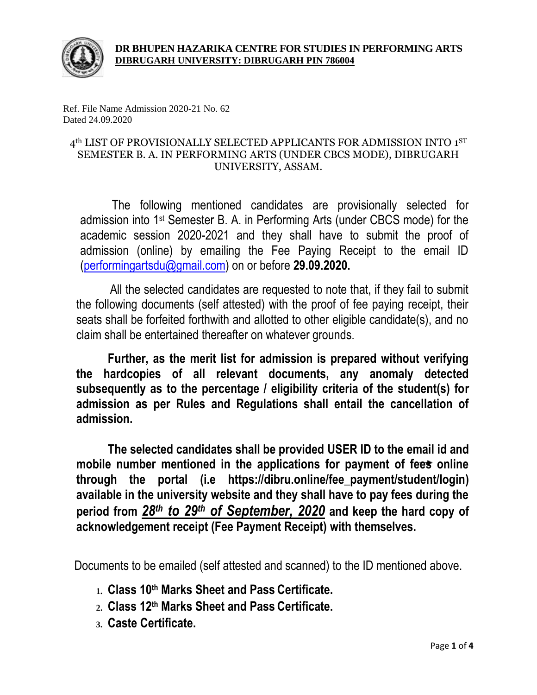

Ref. File Name Admission 2020-21 No. 62 Dated 24.09.2020

# 4<sup>th</sup> LIST OF PROVISIONALLY SELECTED APPLICANTS FOR ADMISSION INTO 1<sup>ST</sup> SEMESTER B. A. IN PERFORMING ARTS (UNDER CBCS MODE), DIBRUGARH UNIVERSITY, ASSAM.

The following mentioned candidates are provisionally selected for admission into 1<sup>st</sup> Semester B. A. in Performing Arts (under CBCS mode) for the academic session 2020-2021 and they shall have to submit the proof of admission (online) by emailing the Fee Paying Receipt to the email ID [\(performingartsdu@gmail.com\)](mailto:performingartsdu@gmail.com) on or before **29.09.2020.**

All the selected candidates are requested to note that, if they fail to submit the following documents (self attested) with the proof of fee paying receipt, their seats shall be forfeited forthwith and allotted to other eligible candidate(s), and no claim shall be entertained thereafter on whatever grounds.

**Further, as the merit list for admission is prepared without verifying the hardcopies of all relevant documents, any anomaly detected subsequently as to the percentage / eligibility criteria of the student(s) for admission as per Rules and Regulations shall entail the cancellation of admission.**

**The selected candidates shall be provided USER ID to the email id and mobile number mentioned in the applications for payment of fees online through the portal (i.e https://dibru.online/fee\_payment/student/login) available in the university website and they shall have to pay fees during the period from** *28th to 29th of September, 2020* **and keep the hard copy of acknowledgement receipt (Fee Payment Receipt) with themselves.**

Documents to be emailed (self attested and scanned) to the ID mentioned above.

- **1. Class 10th Marks Sheet and Pass Certificate.**
- **2. Class 12th Marks Sheet and Pass Certificate.**
- **3. Caste Certificate.**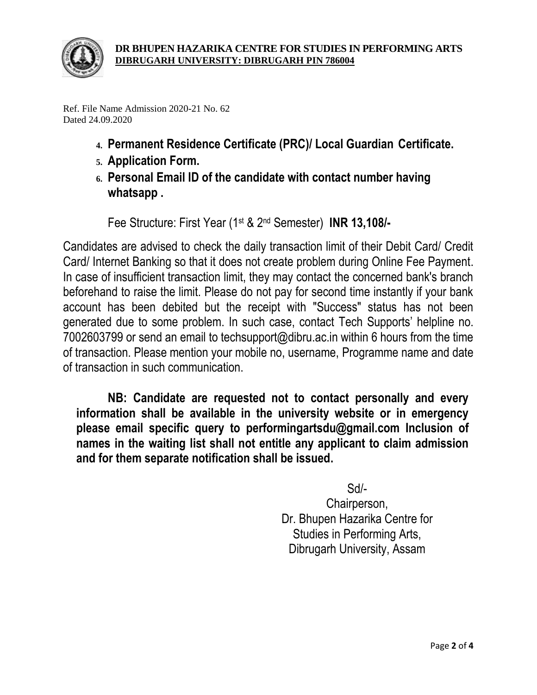

Ref. File Name Admission 2020-21 No. 62 Dated 24.09.2020

- **4. Permanent Residence Certificate (PRC)/ Local Guardian Certificate.**
- **5. Application Form.**
- **6. Personal Email ID of the candidate with contact number having whatsapp .**

Fee Structure: First Year (1st & 2nd Semester) **INR 13,108/-**

Candidates are advised to check the daily transaction limit of their Debit Card/ Credit Card/ Internet Banking so that it does not create problem during Online Fee Payment. In case of insufficient transaction limit, they may contact the concerned bank's branch beforehand to raise the limit. Please do not pay for second time instantly if your bank account has been debited but the receipt with "Success" status has not been generated due to some problem. In such case, contact Tech Supports' helpline no. 7002603799 or send an email to techsupport@dibru.ac.in within 6 hours from the time of transaction. Please mention your mobile no, username, Programme name and date of transaction in such communication.

**NB: Candidate are requested not to contact personally and every information shall be available in the university website or in emergency please email specific query to performingartsdu@gmail.com Inclusion of names in the waiting list shall not entitle any applicant to claim admission and for them separate notification shall be issued.**

Sd/-

Chairperson, Dr. Bhupen Hazarika Centre for Studies in Performing Arts, Dibrugarh University, Assam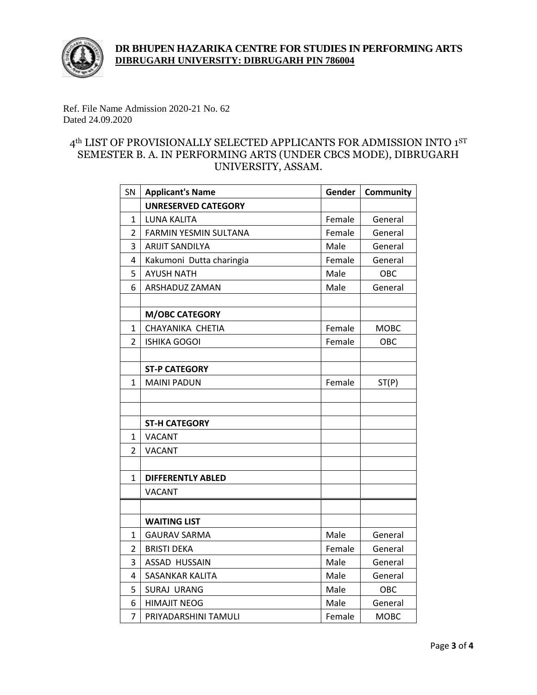

## **DR BHUPEN HAZARIKA CENTRE FOR STUDIES IN PERFORMING ARTS DIBRUGARH UNIVERSITY: DIBRUGARH PIN 786004**

Ref. File Name Admission 2020-21 No. 62 Dated 24.09.2020

## 4<sup>th</sup> LIST OF PROVISIONALLY SELECTED APPLICANTS FOR ADMISSION INTO 1<sup>ST</sup> SEMESTER B. A. IN PERFORMING ARTS (UNDER CBCS MODE), DIBRUGARH UNIVERSITY, ASSAM.

| SN             | <b>Applicant's Name</b>      | Gender | <b>Community</b> |
|----------------|------------------------------|--------|------------------|
|                | <b>UNRESERVED CATEGORY</b>   |        |                  |
| 1              | LUNA KALITA                  | Female | General          |
| $\overline{2}$ | <b>FARMIN YESMIN SULTANA</b> | Female | General          |
| 3              | <b>ARIJIT SANDILYA</b>       | Male   | General          |
| 4              | Kakumoni Dutta charingia     | Female | General          |
| 5              | <b>AYUSH NATH</b>            | Male   | OBC              |
| 6              | ARSHADUZ ZAMAN               | Male   | General          |
|                |                              |        |                  |
|                | <b>M/OBC CATEGORY</b>        |        |                  |
| 1              | CHAYANIKA CHETIA             | Female | <b>MOBC</b>      |
| 2              | <b>ISHIKA GOGOI</b>          | Female | OBC              |
|                |                              |        |                  |
|                | <b>ST-P CATEGORY</b>         |        |                  |
| 1              | <b>MAINI PADUN</b>           | Female | ST(P)            |
|                |                              |        |                  |
|                |                              |        |                  |
|                | <b>ST-H CATEGORY</b>         |        |                  |
| 1              | <b>VACANT</b>                |        |                  |
| 2              | <b>VACANT</b>                |        |                  |
|                |                              |        |                  |
| 1              | <b>DIFFERENTLY ABLED</b>     |        |                  |
|                | VACANT                       |        |                  |
|                |                              |        |                  |
|                | <b>WAITING LIST</b>          |        |                  |
| 1              | <b>GAURAV SARMA</b>          | Male   | General          |
| $\overline{2}$ | <b>BRISTI DEKA</b>           | Female | General          |
| 3              | <b>ASSAD HUSSAIN</b>         | Male   | General          |
| 4              | <b>SASANKAR KALITA</b>       | Male   | General          |
| 5              | <b>SURAJ URANG</b>           | Male   | OBC              |
| 6              | <b>HIMAJIT NEOG</b>          | Male   | General          |
| 7              | PRIYADARSHINI TAMULI         | Female | <b>MOBC</b>      |